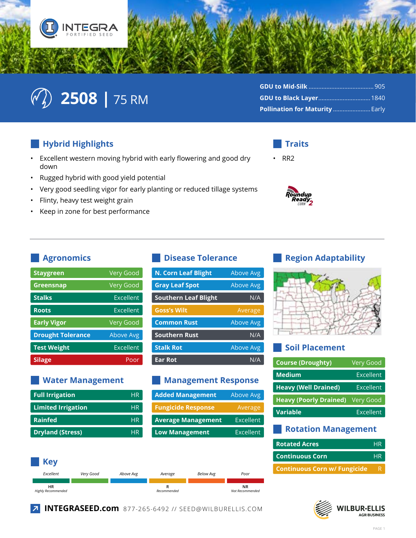



| Pollination for Maturity  Early |  |
|---------------------------------|--|

### Hybrid Highlights

- Excellent western moving hybrid with early flowering and good dry  $\bullet$ down
- $\bullet$ Rugged hybrid with good yield potential
- Very good seedling vigor for early planting or reduced tillage systems  $\bullet$
- Flinty, heavy test weight grain  $\bullet$
- Keep in zone for best performance  $\bullet$

## **Traits**





#### **Agronomics**

| <b>Staygreen</b>         | <b>Very Good</b> |
|--------------------------|------------------|
| Greensnap                | <b>Very Good</b> |
| <b>Stalks</b>            | <b>Fxcellent</b> |
| <b>Roots</b>             | <b>Excellent</b> |
| <b>Early Vigor</b>       | <b>Very Good</b> |
| <b>Drought Tolerance</b> | <b>Above Avg</b> |
| <b>Test Weight</b>       | <b>Fxcellent</b> |
| <b>Silage</b>            | Poor             |

#### **Water Management**

| <b>Full Irrigation</b>    | <b>HR</b> |
|---------------------------|-----------|
| <b>Limited Irrigation</b> | <b>HR</b> |
| <b>Rainfed</b>            | <b>HR</b> |
| <b>Dryland (Stress)</b>   | <b>HR</b> |

#### **Disease Tolerance**

| <b>N. Corn Leaf Blight</b>  | Above Avg        |
|-----------------------------|------------------|
| <b>Gray Leaf Spot</b>       | Above Avg        |
| <b>Southern Leaf Blight</b> | N/A              |
| <b>Goss's Wilt</b>          | Average          |
| <b>Common Rust</b>          | Above Avg        |
| <b>Southern Rust</b>        | N/A              |
| <b>Stalk Rot</b>            | <b>Above Avg</b> |
| <b>Ear Rot</b>              | N/A              |

#### **Management Response**

| <b>Added Management</b>   | Above Avg        |
|---------------------------|------------------|
| <b>Fungicide Response</b> | Average          |
| <b>Average Management</b> | <b>Excellent</b> |
| <b>Low Management</b>     | Excellent        |

#### **Key** Excellent Very Good Above Avg Below Avg Average Pool **NR HR**  $\mathsf{R}$ Highly Recommended Recommended Not Recommended

#### **Region Adaptability**



#### **Soil Placement**

| <b>Course (Droughty)</b>      | <b>Very Good</b> |
|-------------------------------|------------------|
| <b>Medium</b>                 | Excellent        |
| <b>Heavy (Well Drained)</b>   | Excellent        |
| <b>Heavy (Poorly Drained)</b> | Very Good        |
| <b>Variable</b>               | Excellent        |
|                               |                  |

#### **Rotation Management**

| <b>Rotated Acres</b>                | <b>HR</b> |
|-------------------------------------|-----------|
| <b>Continuous Corn</b>              | HR        |
| <b>Continuous Corn w/ Fungicide</b> | R         |